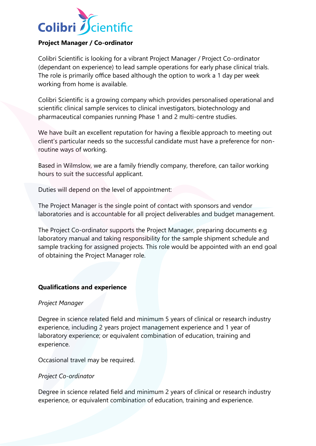

## **Project Manager / Co-ordinator**

Colibri Scientific is looking for a vibrant Project Manager / Project Co-ordinator (dependant on experience) to lead sample operations for early phase clinical trials. The role is primarily office based although the option to work a 1 day per week working from home is available.

Colibri Scientific is a growing company which provides personalised operational and scientific clinical sample services to clinical investigators, biotechnology and pharmaceutical companies running Phase 1 and 2 multi-centre studies.

We have built an excellent reputation for having a flexible approach to meeting out client's particular needs so the successful candidate must have a preference for nonroutine ways of working.

Based in Wilmslow, we are a family friendly company, therefore, can tailor working hours to suit the successful applicant.

Duties will depend on the level of appointment:

The Project Manager is the single point of contact with sponsors and vendor laboratories and is accountable for all project deliverables and budget management.

The Project Co-ordinator supports the Project Manager, preparing documents e.g laboratory manual and taking responsibility for the sample shipment schedule and sample tracking for assigned projects. This role would be appointed with an end goal of obtaining the Project Manager role.

## **Qualifications and experience**

## *Project Manager*

Degree in science related field and minimum 5 years of clinical or research industry experience, including 2 years project management experience and 1 year of laboratory experience; or equivalent combination of education, training and experience.

Occasional travel may be required.

## *Project Co-ordinator*

Degree in science related field and minimum 2 years of clinical or research industry experience, or equivalent combination of education, training and experience.